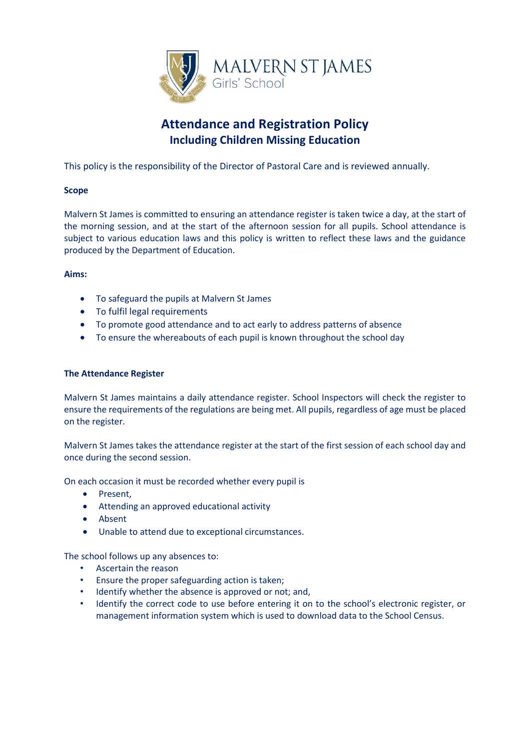

# **Attendance and Registration Policy Including Children Missing Education**

This policy is the responsibility of the Director of Pastoral Care and is reviewed annually.

## **Scope**

Malvern St James is committed to ensuring an attendance register is taken twice a day, at the start of the morning session, and at the start of the afternoon session for all pupils. School attendance is subject to various education laws and this policy is written to reflect these laws and the guidance produced by the Department of Education.

## **Aims:**

- To safeguard the pupils at Malvern St James
- To fulfil legal requirements
- To promote good attendance and to act early to address patterns of absence
- To ensure the whereabouts of each pupil is known throughout the school day

## **The Attendance Register**

Malvern St James maintains a daily attendance register. School Inspectors will check the register to ensure the requirements of the regulations are being met. All pupils, regardless of age must be placed on the register.

Malvern St James takes the attendance register at the start of the first session of each school day and once during the second session.

On each occasion it must be recorded whether every pupil is

- Present,
- Attending an approved educational activity
- Absent
- Unable to attend due to exceptional circumstances.

The school follows up any absences to:

- Ascertain the reason
- Ensure the proper safeguarding action is taken;
- Identify whether the absence is approved or not; and,
- Identify the correct code to use before entering it on to the school's electronic register, or management information system which is used to download data to the School Census.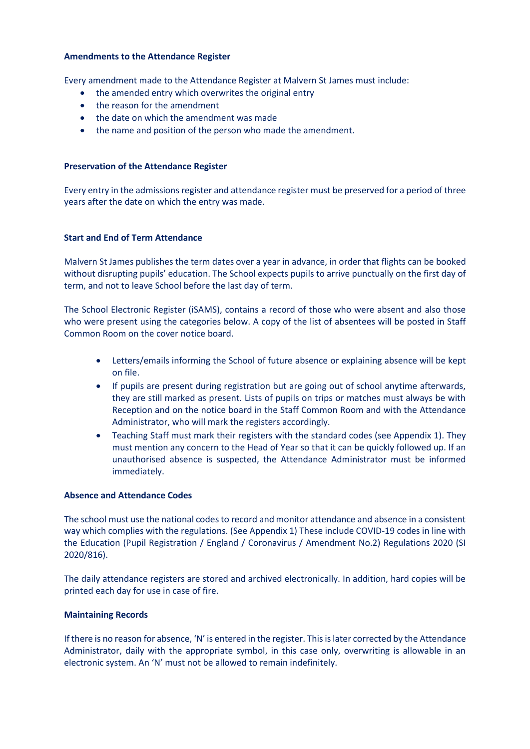#### **Amendments to the Attendance Register**

Every amendment made to the Attendance Register at Malvern St James must include:

- the amended entry which overwrites the original entry
- the reason for the amendment
- the date on which the amendment was made
- the name and position of the person who made the amendment.

### **Preservation of the Attendance Register**

Every entry in the admissions register and attendance register must be preserved for a period of three years after the date on which the entry was made.

#### **Start and End of Term Attendance**

Malvern St James publishes the term dates over a year in advance, in order that flights can be booked without disrupting pupils' education. The School expects pupils to arrive punctually on the first day of term, and not to leave School before the last day of term.

The School Electronic Register (iSAMS), contains a record of those who were absent and also those who were present using the categories below. A copy of the list of absentees will be posted in Staff Common Room on the cover notice board.

- Letters/emails informing the School of future absence or explaining absence will be kept on file.
- If pupils are present during registration but are going out of school anytime afterwards, they are still marked as present. Lists of pupils on trips or matches must always be with Reception and on the notice board in the Staff Common Room and with the Attendance Administrator, who will mark the registers accordingly.
- Teaching Staff must mark their registers with the standard codes (see Appendix 1). They must mention any concern to the Head of Year so that it can be quickly followed up. If an unauthorised absence is suspected, the Attendance Administrator must be informed immediately.

### **Absence and Attendance Codes**

The school must use the national codes to record and monitor attendance and absence in a consistent way which complies with the regulations. (See Appendix 1) These include COVID-19 codes in line with the Education (Pupil Registration / England / Coronavirus / Amendment No.2) Regulations 2020 (SI 2020/816).

The daily attendance registers are stored and archived electronically. In addition, hard copies will be printed each day for use in case of fire.

#### **Maintaining Records**

If there is no reason for absence, 'N' is entered in the register. This is later corrected by the Attendance Administrator, daily with the appropriate symbol, in this case only, overwriting is allowable in an electronic system. An 'N' must not be allowed to remain indefinitely.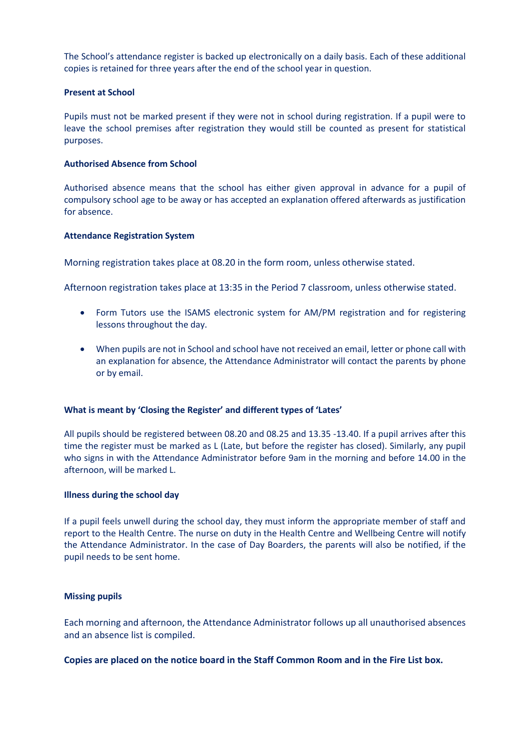The School's attendance register is backed up electronically on a daily basis. Each of these additional copies is retained for three years after the end of the school year in question.

## **Present at School**

Pupils must not be marked present if they were not in school during registration. If a pupil were to leave the school premises after registration they would still be counted as present for statistical purposes.

#### **Authorised Absence from School**

Authorised absence means that the school has either given approval in advance for a pupil of compulsory school age to be away or has accepted an explanation offered afterwards as justification for absence.

#### **Attendance Registration System**

Morning registration takes place at 08.20 in the form room, unless otherwise stated.

Afternoon registration takes place at 13:35 in the Period 7 classroom, unless otherwise stated.

- Form Tutors use the ISAMS electronic system for AM/PM registration and for registering lessons throughout the day.
- When pupils are not in School and school have not received an email, letter or phone call with an explanation for absence, the Attendance Administrator will contact the parents by phone or by email.

#### **What is meant by 'Closing the Register' and different types of 'Lates'**

All pupils should be registered between 08.20 and 08.25 and 13.35 -13.40. If a pupil arrives after this time the register must be marked as L (Late, but before the register has closed). Similarly, any pupil who signs in with the Attendance Administrator before 9am in the morning and before 14.00 in the afternoon, will be marked L.

#### **Illness during the school day**

If a pupil feels unwell during the school day, they must inform the appropriate member of staff and report to the Health Centre. The nurse on duty in the Health Centre and Wellbeing Centre will notify the Attendance Administrator. In the case of Day Boarders, the parents will also be notified, if the pupil needs to be sent home.

#### **Missing pupils**

Each morning and afternoon, the Attendance Administrator follows up all unauthorised absences and an absence list is compiled.

## **Copies are placed on the notice board in the Staff Common Room and in the Fire List box.**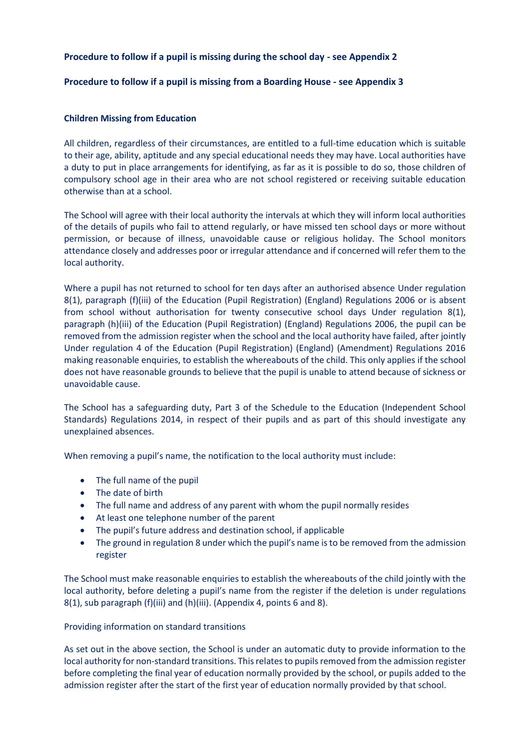## **Procedure to follow if a pupil is missing during the school day - see Appendix 2**

## **Procedure to follow if a pupil is missing from a Boarding House - see Appendix 3**

## **Children Missing from Education**

All children, regardless of their circumstances, are entitled to a full-time education which is suitable to their age, ability, aptitude and any special educational needs they may have. Local authorities have a duty to put in place arrangements for identifying, as far as it is possible to do so, those children of compulsory school age in their area who are not school registered or receiving suitable education otherwise than at a school.

The School will agree with their local authority the intervals at which they will inform local authorities of the details of pupils who fail to attend regularly, or have missed ten school days or more without permission, or because of illness, unavoidable cause or religious holiday. The School monitors attendance closely and addresses poor or irregular attendance and if concerned will refer them to the local authority.

Where a pupil has not returned to school for ten days after an authorised absence Under regulation 8(1), paragraph (f)(iii) of the Education (Pupil Registration) (England) Regulations 2006 or is absent from school without authorisation for twenty consecutive school days Under regulation 8(1), paragraph (h)(iii) of the Education (Pupil Registration) (England) Regulations 2006, the pupil can be removed from the admission register when the school and the local authority have failed, after jointly Under regulation 4 of the Education (Pupil Registration) (England) (Amendment) Regulations 2016 making reasonable enquiries, to establish the whereabouts of the child. This only applies if the school does not have reasonable grounds to believe that the pupil is unable to attend because of sickness or unavoidable cause.

The School has a safeguarding duty, Part 3 of the Schedule to the Education (Independent School Standards) Regulations 2014, in respect of their pupils and as part of this should investigate any unexplained absences.

When removing a pupil's name, the notification to the local authority must include:

- The full name of the pupil
- The date of birth
- The full name and address of any parent with whom the pupil normally resides
- At least one telephone number of the parent
- The pupil's future address and destination school, if applicable
- The ground in regulation 8 under which the pupil's name is to be removed from the admission register

The School must make reasonable enquiries to establish the whereabouts of the child jointly with the local authority, before deleting a pupil's name from the register if the deletion is under regulations 8(1), sub paragraph (f)(iii) and (h)(iii). (Appendix 4, points 6 and 8).

## Providing information on standard transitions

As set out in the above section, the School is under an automatic duty to provide information to the local authority for non-standard transitions. This relates to pupils removed from the admission register before completing the final year of education normally provided by the school, or pupils added to the admission register after the start of the first year of education normally provided by that school.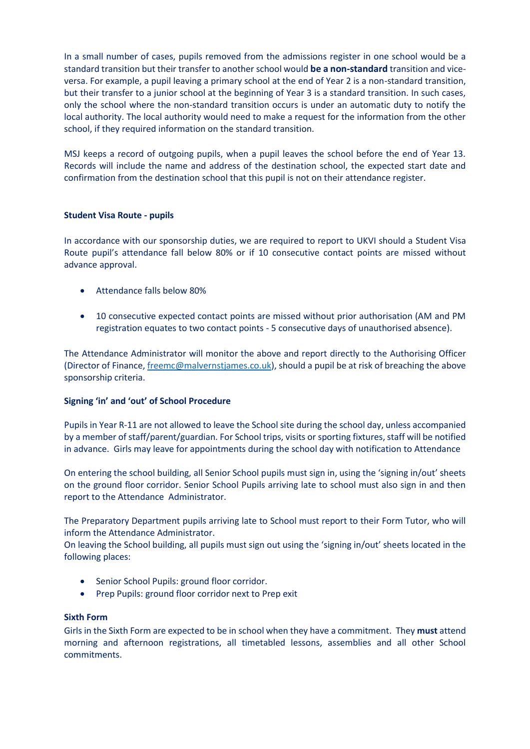In a small number of cases, pupils removed from the admissions register in one school would be a standard transition but their transfer to another school would **be a non-standard** transition and viceversa. For example, a pupil leaving a primary school at the end of Year 2 is a non-standard transition, but their transfer to a junior school at the beginning of Year 3 is a standard transition. In such cases, only the school where the non-standard transition occurs is under an automatic duty to notify the local authority. The local authority would need to make a request for the information from the other school, if they required information on the standard transition.

MSJ keeps a record of outgoing pupils, when a pupil leaves the school before the end of Year 13. Records will include the name and address of the destination school, the expected start date and confirmation from the destination school that this pupil is not on their attendance register.

## **Student Visa Route - pupils**

In accordance with our sponsorship duties, we are required to report to UKVI should a Student Visa Route pupil's attendance fall below 80% or if 10 consecutive contact points are missed without advance approval.

- Attendance falls below 80%
- 10 consecutive expected contact points are missed without prior authorisation (AM and PM registration equates to two contact points - 5 consecutive days of unauthorised absence).

The Attendance Administrator will monitor the above and report directly to the Authorising Officer (Director of Finance[, freemc@malvernstjames.co.uk\)](mailto:freemc@malvernstjames.co.uk), should a pupil be at risk of breaching the above sponsorship criteria.

## **Signing 'in' and 'out' of School Procedure**

Pupils in Year R-11 are not allowed to leave the School site during the school day, unless accompanied by a member of staff/parent/guardian. For School trips, visits or sporting fixtures, staff will be notified in advance. Girls may leave for appointments during the school day with notification to Attendance

On entering the school building, all Senior School pupils must sign in, using the 'signing in/out' sheets on the ground floor corridor. Senior School Pupils arriving late to school must also sign in and then report to the Attendance Administrator.

The Preparatory Department pupils arriving late to School must report to their Form Tutor, who will inform the Attendance Administrator.

On leaving the School building, all pupils must sign out using the 'signing in/out' sheets located in the following places:

- Senior School Pupils: ground floor corridor.
- Prep Pupils: ground floor corridor next to Prep exit

## **Sixth Form**

Girls in the Sixth Form are expected to be in school when they have a commitment. They **must** attend morning and afternoon registrations, all timetabled lessons, assemblies and all other School commitments.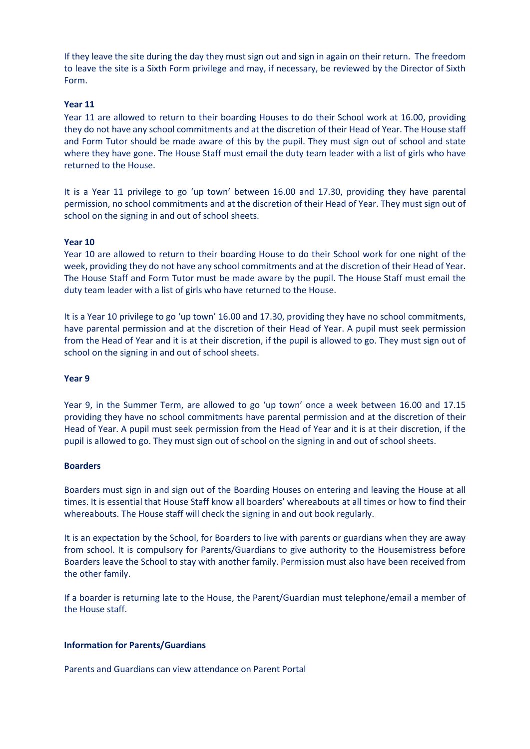If they leave the site during the day they must sign out and sign in again on their return. The freedom to leave the site is a Sixth Form privilege and may, if necessary, be reviewed by the Director of Sixth Form.

#### **Year 11**

Year 11 are allowed to return to their boarding Houses to do their School work at 16.00, providing they do not have any school commitments and at the discretion of their Head of Year. The House staff and Form Tutor should be made aware of this by the pupil. They must sign out of school and state where they have gone. The House Staff must email the duty team leader with a list of girls who have returned to the House.

It is a Year 11 privilege to go 'up town' between 16.00 and 17.30, providing they have parental permission, no school commitments and at the discretion of their Head of Year. They must sign out of school on the signing in and out of school sheets.

#### **Year 10**

Year 10 are allowed to return to their boarding House to do their School work for one night of the week, providing they do not have any school commitments and at the discretion of their Head of Year. The House Staff and Form Tutor must be made aware by the pupil. The House Staff must email the duty team leader with a list of girls who have returned to the House.

It is a Year 10 privilege to go 'up town' 16.00 and 17.30, providing they have no school commitments, have parental permission and at the discretion of their Head of Year. A pupil must seek permission from the Head of Year and it is at their discretion, if the pupil is allowed to go. They must sign out of school on the signing in and out of school sheets.

#### **Year 9**

Year 9, in the Summer Term, are allowed to go 'up town' once a week between 16.00 and 17.15 providing they have no school commitments have parental permission and at the discretion of their Head of Year. A pupil must seek permission from the Head of Year and it is at their discretion, if the pupil is allowed to go. They must sign out of school on the signing in and out of school sheets.

#### **Boarders**

Boarders must sign in and sign out of the Boarding Houses on entering and leaving the House at all times. It is essential that House Staff know all boarders' whereabouts at all times or how to find their whereabouts. The House staff will check the signing in and out book regularly.

It is an expectation by the School, for Boarders to live with parents or guardians when they are away from school. It is compulsory for Parents/Guardians to give authority to the Housemistress before Boarders leave the School to stay with another family. Permission must also have been received from the other family.

If a boarder is returning late to the House, the Parent/Guardian must telephone/email a member of the House staff.

#### **Information for Parents/Guardians**

Parents and Guardians can view attendance on Parent Portal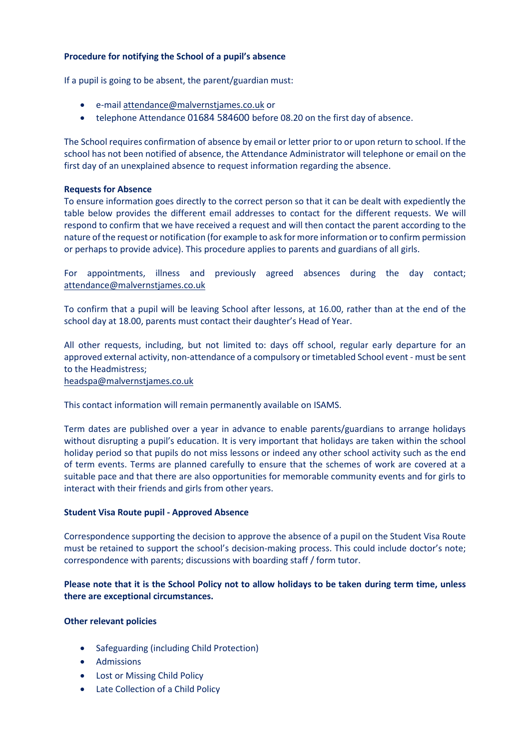## **Procedure for notifying the School of a pupil's absence**

If a pupil is going to be absent, the parent/guardian must:

- e-mai[l attendance@malvernstjames.co.uk](mailto:attendance@malvernstjames.co.uk) or
- telephone Attendance 01684 584600 before 08.20 on the first day of absence.

The School requires confirmation of absence by email or letter prior to or upon return to school. If the school has not been notified of absence, the Attendance Administrator will telephone or email on the first day of an unexplained absence to request information regarding the absence.

## **Requests for Absence**

To ensure information goes directly to the correct person so that it can be dealt with expediently the table below provides the different email addresses to contact for the different requests. We will respond to confirm that we have received a request and will then contact the parent according to the nature of the request or notification (for example to ask for more information or to confirm permission or perhaps to provide advice). This procedure applies to parents and guardians of all girls.

For appointments, illness and previously agreed absences during the day contact; [attendance@malvernstjames.co.uk](mailto:attendance@malvernstjames.co.uk)

To confirm that a pupil will be leaving School after lessons, at 16.00, rather than at the end of the school day at 18.00, parents must contact their daughter's Head of Year.

All other requests, including, but not limited to: days off school, regular early departure for an approved external activity, non-attendance of a compulsory or timetabled School event - must be sent to the Headmistress;

[headspa@malvernstjames.co.uk](mailto:headspa@malvernstjames.co.uk)

This contact information will remain permanently available on ISAMS.

Term dates are published over a year in advance to enable parents/guardians to arrange holidays without disrupting a pupil's education. It is very important that holidays are taken within the school holiday period so that pupils do not miss lessons or indeed any other school activity such as the end of term events. Terms are planned carefully to ensure that the schemes of work are covered at a suitable pace and that there are also opportunities for memorable community events and for girls to interact with their friends and girls from other years.

## **Student Visa Route pupil - Approved Absence**

Correspondence supporting the decision to approve the absence of a pupil on the Student Visa Route must be retained to support the school's decision-making process. This could include doctor's note; correspondence with parents; discussions with boarding staff / form tutor.

## **Please note that it is the School Policy not to allow holidays to be taken during term time, unless there are exceptional circumstances.**

## **Other relevant policies**

- Safeguarding (including Child Protection)
- Admissions
- Lost or Missing Child Policy
- Late Collection of a Child Policy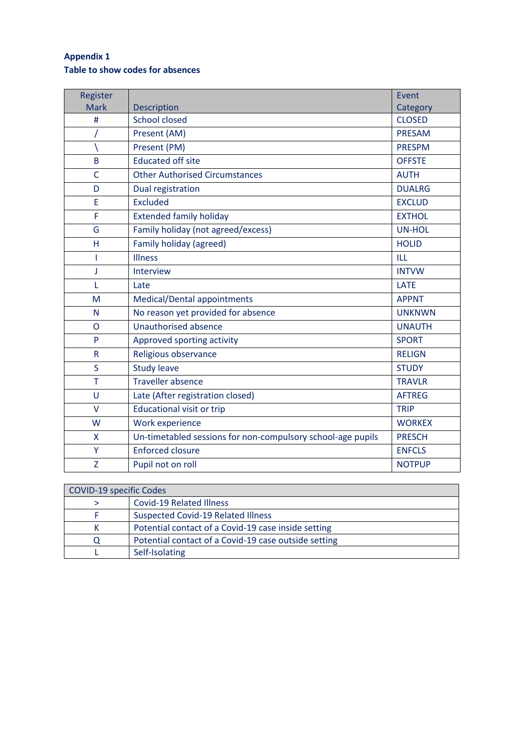## **Appendix 1 Table to show codes for absences**

| Register       |                                                             | Event         |
|----------------|-------------------------------------------------------------|---------------|
| <b>Mark</b>    | Description                                                 | Category      |
| #              | <b>School closed</b>                                        | <b>CLOSED</b> |
|                | Present (AM)                                                | <b>PRESAM</b> |
|                | Present (PM)                                                | <b>PRESPM</b> |
| B              | <b>Educated off site</b>                                    | <b>OFFSTE</b> |
| $\overline{C}$ | <b>Other Authorised Circumstances</b>                       | <b>AUTH</b>   |
| D              | Dual registration                                           | <b>DUALRG</b> |
| E              | <b>Excluded</b>                                             | <b>EXCLUD</b> |
| F              | <b>Extended family holiday</b>                              | <b>EXTHOL</b> |
| G              | Family holiday (not agreed/excess)                          | <b>UN-HOL</b> |
| н              | Family holiday (agreed)                                     | <b>HOLID</b>  |
| T              | <b>Illness</b>                                              | ILL           |
| J              | Interview                                                   | <b>INTVW</b>  |
| L              | Late                                                        | <b>LATE</b>   |
| M              | Medical/Dental appointments                                 | <b>APPNT</b>  |
| N              | No reason yet provided for absence                          | <b>UNKNWN</b> |
| $\overline{O}$ | <b>Unauthorised absence</b>                                 | <b>UNAUTH</b> |
| P              | Approved sporting activity                                  | <b>SPORT</b>  |
| $\mathsf R$    | Religious observance                                        | <b>RELIGN</b> |
| S              | <b>Study leave</b>                                          | <b>STUDY</b>  |
| T              | <b>Traveller absence</b>                                    | <b>TRAVLR</b> |
| U              | Late (After registration closed)                            | <b>AFTREG</b> |
| $\vee$         | <b>Educational visit or trip</b>                            | <b>TRIP</b>   |
| W              | Work experience                                             | <b>WORKEX</b> |
| X              | Un-timetabled sessions for non-compulsory school-age pupils | <b>PRESCH</b> |
| Υ              | <b>Enforced closure</b>                                     | <b>ENFCLS</b> |
| Z              | Pupil not on roll                                           | <b>NOTPUP</b> |

| COVID-19 specific Codes |                                                      |  |
|-------------------------|------------------------------------------------------|--|
|                         | Covid-19 Related Illness                             |  |
|                         | <b>Suspected Covid-19 Related Illness</b>            |  |
|                         | Potential contact of a Covid-19 case inside setting  |  |
|                         | Potential contact of a Covid-19 case outside setting |  |
|                         | Self-Isolating                                       |  |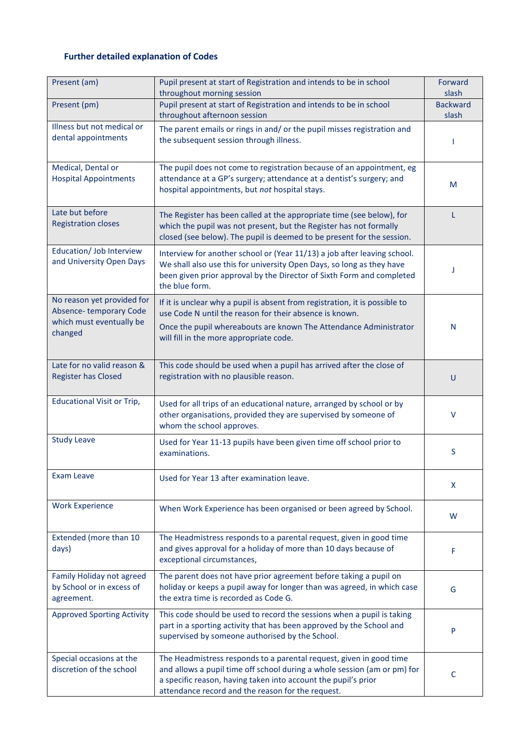## **Further detailed explanation of Codes**

| Present (am)                                                                                | Pupil present at start of Registration and intends to be in school<br>throughout morning session                                                                                                                                                                       | Forward<br>slash         |
|---------------------------------------------------------------------------------------------|------------------------------------------------------------------------------------------------------------------------------------------------------------------------------------------------------------------------------------------------------------------------|--------------------------|
| Present (pm)                                                                                | Pupil present at start of Registration and intends to be in school<br>throughout afternoon session                                                                                                                                                                     | <b>Backward</b><br>slash |
| Illness but not medical or<br>dental appointments                                           | The parent emails or rings in and/ or the pupil misses registration and<br>the subsequent session through illness.                                                                                                                                                     |                          |
| Medical, Dental or<br><b>Hospital Appointments</b>                                          | The pupil does not come to registration because of an appointment, eg<br>attendance at a GP's surgery; attendance at a dentist's surgery; and<br>hospital appointments, but not hospital stays.                                                                        | M                        |
| Late but before<br><b>Registration closes</b>                                               | The Register has been called at the appropriate time (see below), for<br>which the pupil was not present, but the Register has not formally<br>closed (see below). The pupil is deemed to be present for the session.                                                  | L                        |
| Education/ Job Interview<br>and University Open Days                                        | Interview for another school or (Year 11/13) a job after leaving school.<br>We shall also use this for university Open Days, so long as they have<br>been given prior approval by the Director of Sixth Form and completed<br>the blue form.                           | J                        |
| No reason yet provided for<br>Absence-temporary Code<br>which must eventually be<br>changed | If it is unclear why a pupil is absent from registration, it is possible to<br>use Code N until the reason for their absence is known.<br>Once the pupil whereabouts are known The Attendance Administrator<br>will fill in the more appropriate code.                 | N                        |
| Late for no valid reason &<br><b>Register has Closed</b>                                    | This code should be used when a pupil has arrived after the close of<br>registration with no plausible reason.                                                                                                                                                         | U                        |
| <b>Educational Visit or Trip,</b>                                                           | Used for all trips of an educational nature, arranged by school or by<br>other organisations, provided they are supervised by someone of<br>whom the school approves.                                                                                                  | v                        |
| <b>Study Leave</b>                                                                          | Used for Year 11-13 pupils have been given time off school prior to<br>examinations.                                                                                                                                                                                   | S                        |
| <b>Exam Leave</b>                                                                           | Used for Year 13 after examination leave.                                                                                                                                                                                                                              | X                        |
| <b>Work Experience</b>                                                                      | When Work Experience has been organised or been agreed by School.                                                                                                                                                                                                      | W                        |
| Extended (more than 10<br>days)                                                             | The Headmistress responds to a parental request, given in good time<br>and gives approval for a holiday of more than 10 days because of<br>exceptional circumstances,                                                                                                  | F                        |
| Family Holiday not agreed<br>by School or in excess of<br>agreement.                        | The parent does not have prior agreement before taking a pupil on<br>holiday or keeps a pupil away for longer than was agreed, in which case<br>the extra time is recorded as Code G.                                                                                  | G                        |
| <b>Approved Sporting Activity</b>                                                           | This code should be used to record the sessions when a pupil is taking<br>part in a sporting activity that has been approved by the School and<br>supervised by someone authorised by the School.                                                                      | P                        |
| Special occasions at the<br>discretion of the school                                        | The Headmistress responds to a parental request, given in good time<br>and allows a pupil time off school during a whole session (am or pm) for<br>a specific reason, having taken into account the pupil's prior<br>attendance record and the reason for the request. | C                        |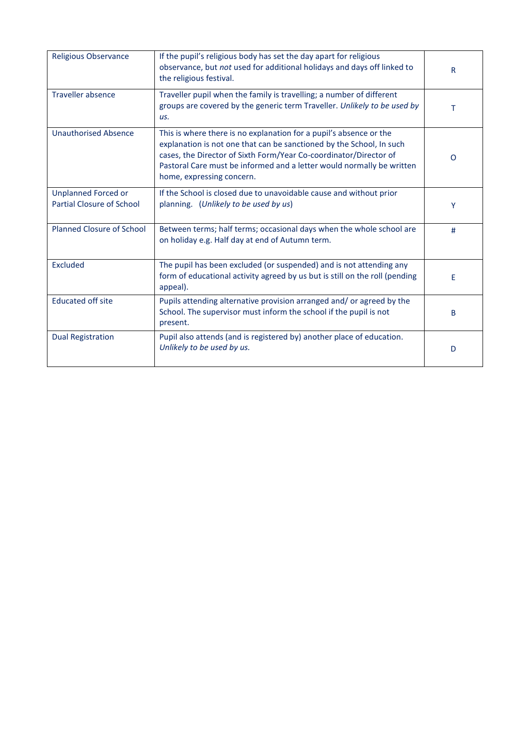| <b>Religious Observance</b>                                    | If the pupil's religious body has set the day apart for religious<br>observance, but not used for additional holidays and days off linked to<br>the religious festival.                                                                                                                                               | R |
|----------------------------------------------------------------|-----------------------------------------------------------------------------------------------------------------------------------------------------------------------------------------------------------------------------------------------------------------------------------------------------------------------|---|
| <b>Traveller absence</b>                                       | Traveller pupil when the family is travelling; a number of different<br>groups are covered by the generic term Traveller. Unlikely to be used by<br>us.                                                                                                                                                               | т |
| <b>Unauthorised Absence</b>                                    | This is where there is no explanation for a pupil's absence or the<br>explanation is not one that can be sanctioned by the School, In such<br>cases, the Director of Sixth Form/Year Co-coordinator/Director of<br>Pastoral Care must be informed and a letter would normally be written<br>home, expressing concern. | O |
| <b>Unplanned Forced or</b><br><b>Partial Closure of School</b> | If the School is closed due to unavoidable cause and without prior<br>planning. (Unlikely to be used by us)                                                                                                                                                                                                           | Y |
| <b>Planned Closure of School</b>                               | Between terms; half terms; occasional days when the whole school are<br>on holiday e.g. Half day at end of Autumn term.                                                                                                                                                                                               | # |
| <b>Excluded</b>                                                | The pupil has been excluded (or suspended) and is not attending any<br>form of educational activity agreed by us but is still on the roll (pending<br>appeal).                                                                                                                                                        | F |
| <b>Educated off site</b>                                       | Pupils attending alternative provision arranged and/ or agreed by the<br>School. The supervisor must inform the school if the pupil is not<br>present.                                                                                                                                                                | B |
| <b>Dual Registration</b>                                       | Pupil also attends (and is registered by) another place of education.<br>Unlikely to be used by us.                                                                                                                                                                                                                   | D |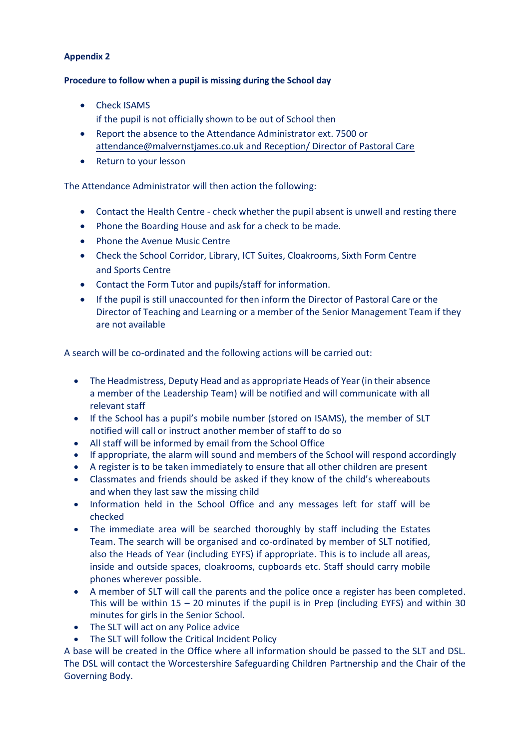## **Appendix 2**

## **Procedure to follow when a pupil is missing during the School day**

• Check ISAMS

if the pupil is not officially shown to be out of School then

- Report the absence to the Attendance Administrator ext. 7500 or [attendance@malvernstjames.co.uk](mailto:attendance@malvernstjames.co.uk) and Reception/ Director of Pastoral Care
- Return to your lesson

The Attendance Administrator will then action the following:

- Contact the Health Centre check whether the pupil absent is unwell and resting there
- Phone the Boarding House and ask for a check to be made.
- Phone the Avenue Music Centre
- Check the School Corridor, Library, ICT Suites, Cloakrooms, Sixth Form Centre and Sports Centre
- Contact the Form Tutor and pupils/staff for information.
- If the pupil is still unaccounted for then inform the Director of Pastoral Care or the Director of Teaching and Learning or a member of the Senior Management Team if they are not available

A search will be co-ordinated and the following actions will be carried out:

- The Headmistress, Deputy Head and as appropriate Heads of Year (in their absence a member of the Leadership Team) will be notified and will communicate with all relevant staff
- If the School has a pupil's mobile number (stored on ISAMS), the member of SLT notified will call or instruct another member of staff to do so
- All staff will be informed by email from the School Office
- If appropriate, the alarm will sound and members of the School will respond accordingly
- A register is to be taken immediately to ensure that all other children are present
- Classmates and friends should be asked if they know of the child's whereabouts and when they last saw the missing child
- Information held in the School Office and any messages left for staff will be checked
- The immediate area will be searched thoroughly by staff including the Estates Team. The search will be organised and co-ordinated by member of SLT notified, also the Heads of Year (including EYFS) if appropriate. This is to include all areas, inside and outside spaces, cloakrooms, cupboards etc. Staff should carry mobile phones wherever possible.
- A member of SLT will call the parents and the police once a register has been completed. This will be within  $15 - 20$  minutes if the pupil is in Prep (including EYFS) and within 30 minutes for girls in the Senior School.
- The SLT will act on any Police advice
- The SLT will follow the Critical Incident Policy

A base will be created in the Office where all information should be passed to the SLT and DSL. The DSL will contact the Worcestershire Safeguarding Children Partnership and the Chair of the Governing Body.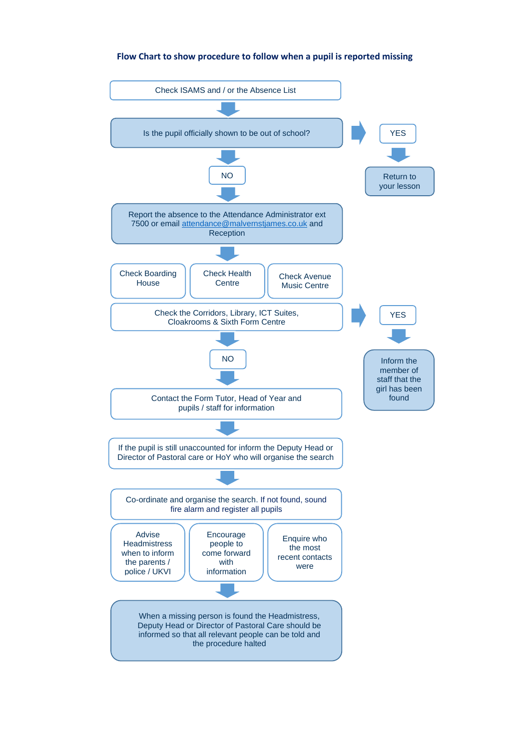## **Flow Chart to show procedure to follow when a pupil is reported missing**

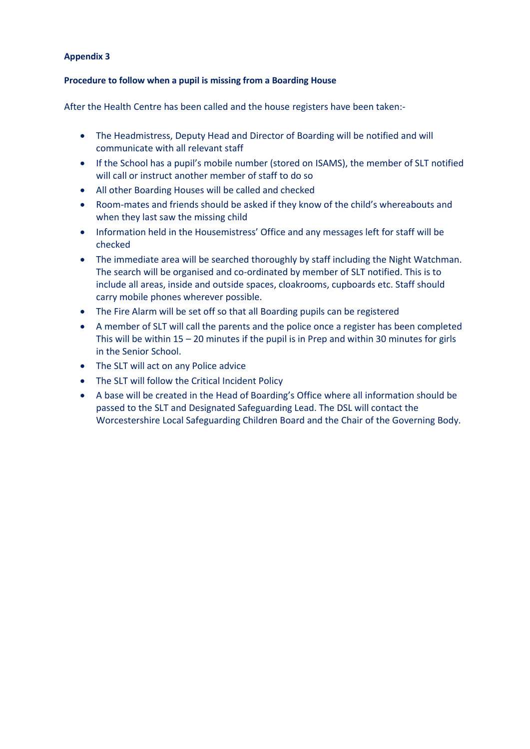## **Appendix 3**

## **Procedure to follow when a pupil is missing from a Boarding House**

After the Health Centre has been called and the house registers have been taken:-

- The Headmistress, Deputy Head and Director of Boarding will be notified and will communicate with all relevant staff
- If the School has a pupil's mobile number (stored on ISAMS), the member of SLT notified will call or instruct another member of staff to do so
- All other Boarding Houses will be called and checked
- Room-mates and friends should be asked if they know of the child's whereabouts and when they last saw the missing child
- Information held in the Housemistress' Office and any messages left for staff will be checked
- The immediate area will be searched thoroughly by staff including the Night Watchman. The search will be organised and co-ordinated by member of SLT notified. This is to include all areas, inside and outside spaces, cloakrooms, cupboards etc. Staff should carry mobile phones wherever possible.
- The Fire Alarm will be set off so that all Boarding pupils can be registered
- A member of SLT will call the parents and the police once a register has been completed This will be within  $15 - 20$  minutes if the pupil is in Prep and within 30 minutes for girls in the Senior School.
- The SLT will act on any Police advice
- The SLT will follow the Critical Incident Policy
- A base will be created in the Head of Boarding's Office where all information should be passed to the SLT and Designated Safeguarding Lead. The DSL will contact the Worcestershire Local Safeguarding Children Board and the Chair of the Governing Body.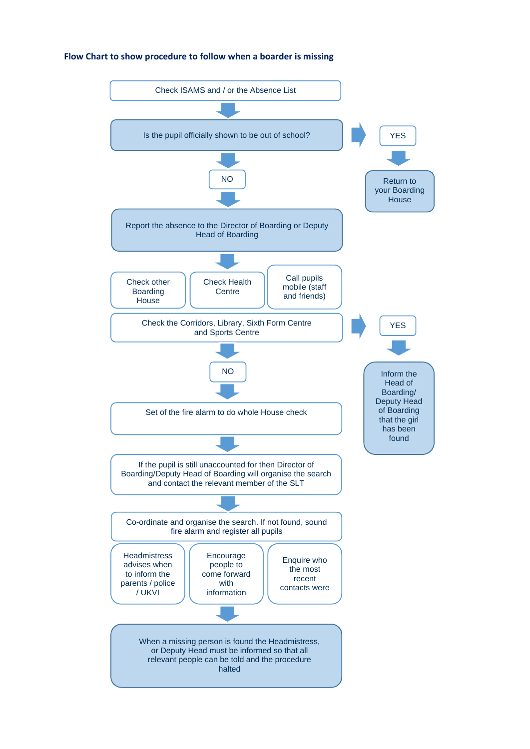## **Flow Chart to show procedure to follow when a boarder is missing**

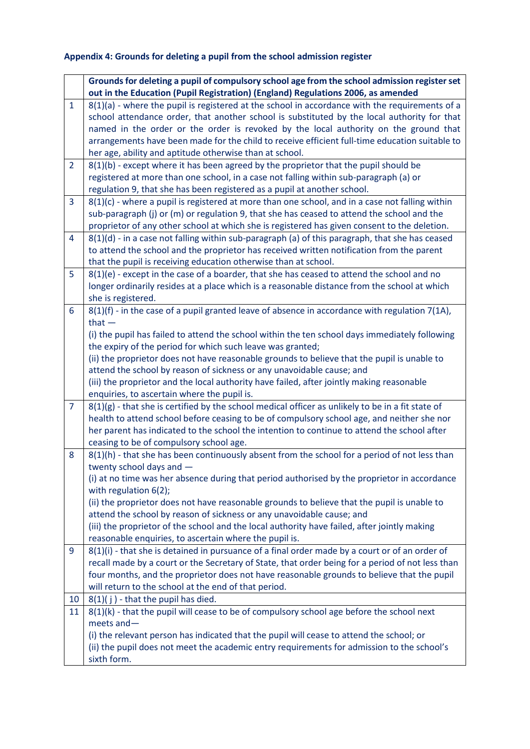## **Appendix 4: Grounds for deleting a pupil from the school admission register**

|                | Grounds for deleting a pupil of compulsory school age from the school admission register set                                                                                                                                                                                                                                                                                                                                                                                                                                                    |  |
|----------------|-------------------------------------------------------------------------------------------------------------------------------------------------------------------------------------------------------------------------------------------------------------------------------------------------------------------------------------------------------------------------------------------------------------------------------------------------------------------------------------------------------------------------------------------------|--|
|                | out in the Education (Pupil Registration) (England) Regulations 2006, as amended                                                                                                                                                                                                                                                                                                                                                                                                                                                                |  |
| $\mathbf{1}$   | $8(1)(a)$ - where the pupil is registered at the school in accordance with the requirements of a<br>school attendance order, that another school is substituted by the local authority for that<br>named in the order or the order is revoked by the local authority on the ground that<br>arrangements have been made for the child to receive efficient full-time education suitable to<br>her age, ability and aptitude otherwise than at school.                                                                                            |  |
| $\overline{2}$ | 8(1)(b) - except where it has been agreed by the proprietor that the pupil should be<br>registered at more than one school, in a case not falling within sub-paragraph (a) or<br>regulation 9, that she has been registered as a pupil at another school.                                                                                                                                                                                                                                                                                       |  |
| 3              | $8(1)(c)$ - where a pupil is registered at more than one school, and in a case not falling within<br>sub-paragraph (j) or (m) or regulation 9, that she has ceased to attend the school and the<br>proprietor of any other school at which she is registered has given consent to the deletion.                                                                                                                                                                                                                                                 |  |
| 4              | $8(1)(d)$ - in a case not falling within sub-paragraph (a) of this paragraph, that she has ceased<br>to attend the school and the proprietor has received written notification from the parent<br>that the pupil is receiving education otherwise than at school.                                                                                                                                                                                                                                                                               |  |
| 5              | 8(1)(e) - except in the case of a boarder, that she has ceased to attend the school and no<br>longer ordinarily resides at a place which is a reasonable distance from the school at which<br>she is registered.                                                                                                                                                                                                                                                                                                                                |  |
| 6              | 8(1)(f) - in the case of a pupil granted leave of absence in accordance with regulation 7(1A),<br>that $-$<br>(i) the pupil has failed to attend the school within the ten school days immediately following<br>the expiry of the period for which such leave was granted;<br>(ii) the proprietor does not have reasonable grounds to believe that the pupil is unable to<br>attend the school by reason of sickness or any unavoidable cause; and<br>(iii) the proprietor and the local authority have failed, after jointly making reasonable |  |
|                | enquiries, to ascertain where the pupil is.                                                                                                                                                                                                                                                                                                                                                                                                                                                                                                     |  |
| $\overline{7}$ | $8(1)(g)$ - that she is certified by the school medical officer as unlikely to be in a fit state of<br>health to attend school before ceasing to be of compulsory school age, and neither she nor<br>her parent has indicated to the school the intention to continue to attend the school after<br>ceasing to be of compulsory school age.                                                                                                                                                                                                     |  |
| 8              | 8(1)(h) - that she has been continuously absent from the school for a period of not less than<br>twenty school days and -<br>(i) at no time was her absence during that period authorised by the proprietor in accordance                                                                                                                                                                                                                                                                                                                       |  |
|                | with regulation 6(2);<br>(ii) the proprietor does not have reasonable grounds to believe that the pupil is unable to<br>attend the school by reason of sickness or any unavoidable cause; and<br>(iii) the proprietor of the school and the local authority have failed, after jointly making<br>reasonable enquiries, to ascertain where the pupil is.                                                                                                                                                                                         |  |
| 9              | $8(1)(i)$ - that she is detained in pursuance of a final order made by a court or of an order of<br>recall made by a court or the Secretary of State, that order being for a period of not less than<br>four months, and the proprietor does not have reasonable grounds to believe that the pupil<br>will return to the school at the end of that period.                                                                                                                                                                                      |  |
| 10             | $8(1)(j)$ - that the pupil has died.                                                                                                                                                                                                                                                                                                                                                                                                                                                                                                            |  |
| 11             | $8(1)(k)$ - that the pupil will cease to be of compulsory school age before the school next<br>meets and $-$<br>(i) the relevant person has indicated that the pupil will cease to attend the school; or<br>(ii) the pupil does not meet the academic entry requirements for admission to the school's<br>sixth form.                                                                                                                                                                                                                           |  |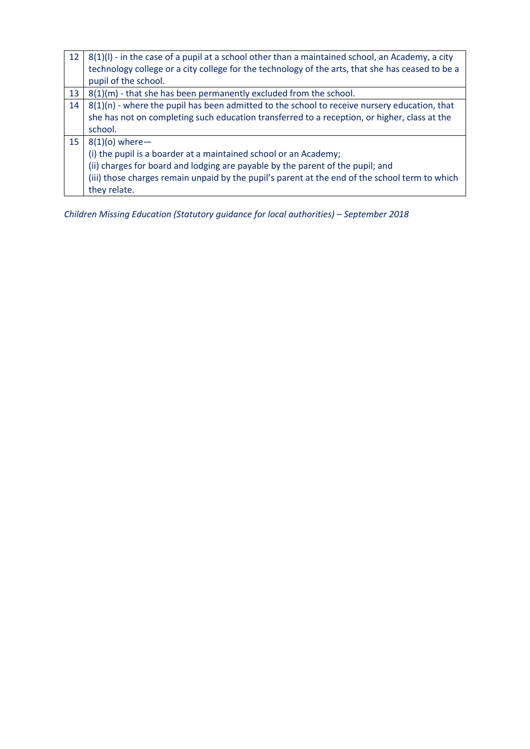| 12 | $8(1)(I)$ - in the case of a pupil at a school other than a maintained school, an Academy, a city<br>technology college or a city college for the technology of the arts, that she has ceased to be a |
|----|-------------------------------------------------------------------------------------------------------------------------------------------------------------------------------------------------------|
|    | pupil of the school.                                                                                                                                                                                  |
| 13 | 8(1)(m) - that she has been permanently excluded from the school.                                                                                                                                     |
| 14 | $8(1)(n)$ - where the pupil has been admitted to the school to receive nursery education, that                                                                                                        |
|    | she has not on completing such education transferred to a reception, or higher, class at the                                                                                                          |
|    | school.                                                                                                                                                                                               |
| 15 | $8(1)(o)$ where-                                                                                                                                                                                      |
|    | (i) the pupil is a boarder at a maintained school or an Academy;                                                                                                                                      |
|    | (ii) charges for board and lodging are payable by the parent of the pupil; and                                                                                                                        |
|    | (iii) those charges remain unpaid by the pupil's parent at the end of the school term to which                                                                                                        |
|    | they relate.                                                                                                                                                                                          |

*Children Missing Education (Statutory guidance for local authorities) – September 2018*